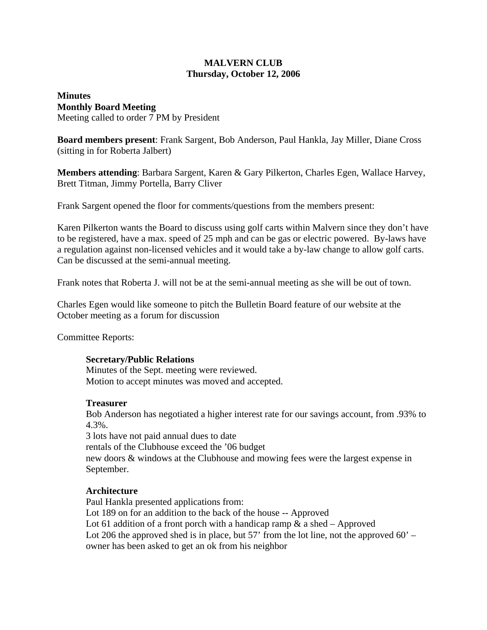# **MALVERN CLUB Thursday, October 12, 2006**

# **Minutes Monthly Board Meeting** Meeting called to order 7 PM by President

**Board members present**: Frank Sargent, Bob Anderson, Paul Hankla, Jay Miller, Diane Cross (sitting in for Roberta Jalbert)

**Members attending**: Barbara Sargent, Karen & Gary Pilkerton, Charles Egen, Wallace Harvey, Brett Titman, Jimmy Portella, Barry Cliver

Frank Sargent opened the floor for comments/questions from the members present:

Karen Pilkerton wants the Board to discuss using golf carts within Malvern since they don't have to be registered, have a max. speed of 25 mph and can be gas or electric powered. By-laws have a regulation against non-licensed vehicles and it would take a by-law change to allow golf carts. Can be discussed at the semi-annual meeting.

Frank notes that Roberta J. will not be at the semi-annual meeting as she will be out of town.

Charles Egen would like someone to pitch the Bulletin Board feature of our website at the October meeting as a forum for discussion

Committee Reports:

# **Secretary/Public Relations**

Minutes of the Sept. meeting were reviewed. Motion to accept minutes was moved and accepted.

#### **Treasurer**

Bob Anderson has negotiated a higher interest rate for our savings account, from .93% to 4.3%.

3 lots have not paid annual dues to date rentals of the Clubhouse exceed the '06 budget new doors & windows at the Clubhouse and mowing fees were the largest expense in September.

# **Architecture**

Paul Hankla presented applications from: Lot 189 on for an addition to the back of the house -- Approved Lot 61 addition of a front porch with a handicap ramp  $\&$  a shed – Approved Lot 206 the approved shed is in place, but 57' from the lot line, not the approved  $60'$  – owner has been asked to get an ok from his neighbor